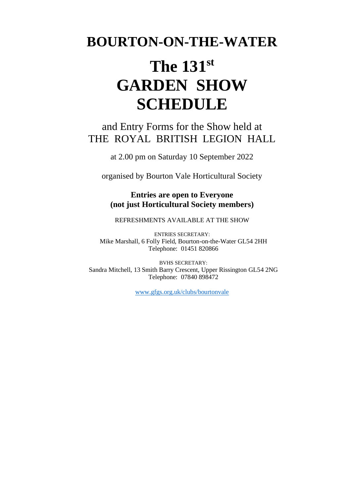# **BOURTON-ON-THE-WATER**

# **The 131st GARDEN SHOW SCHEDULE**

# and Entry Forms for the Show held at THE ROYAL BRITISH LEGION HALL

at 2.00 pm on Saturday 10 September 2022

organised by Bourton Vale Horticultural Society

**Entries are open to Everyone (not just Horticultural Society members)**

REFRESHMENTS AVAILABLE AT THE SHOW

ENTRIES SECRETARY: Mike Marshall, 6 Folly Field, Bourton-on-the-Water GL54 2HH Telephone: 01451 820866

BVHS SECRETARY: Sandra Mitchell, 13 Smith Barry Crescent, Upper Rissington GL54 2NG Telephone: 07840 898472

[www.gfgs.org.uk/clubs/bourtonvale](http://www.gfgs.org.uk/clubs/bourtonvale)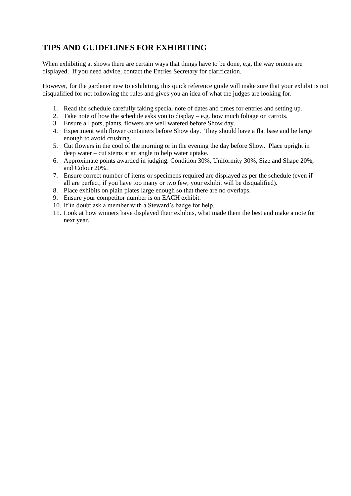# **TIPS AND GUIDELINES FOR EXHIBITING**

When exhibiting at shows there are certain ways that things have to be done, e.g. the way onions are displayed. If you need advice, contact the Entries Secretary for clarification.

However, for the gardener new to exhibiting, this quick reference guide will make sure that your exhibit is not disqualified for not following the rules and gives you an idea of what the judges are looking for.

- 1. Read the schedule carefully taking special note of dates and times for entries and setting up.
- 2. Take note of how the schedule asks you to display e.g. how much foliage on carrots.
- 3. Ensure all pots, plants, flowers are well watered before Show day.
- 4. Experiment with flower containers before Show day. They should have a flat base and be large enough to avoid crushing.
- 5. Cut flowers in the cool of the morning or in the evening the day before Show. Place upright in deep water – cut stems at an angle to help water uptake.
- 6. Approximate points awarded in judging: Condition 30%, Uniformity 30%, Size and Shape 20%, and Colour 20%.
- 7. Ensure correct number of items or specimens required are displayed as per the schedule (even if all are perfect, if you have too many or two few, your exhibit will be disqualified).
- 8. Place exhibits on plain plates large enough so that there are no overlaps.
- 9. Ensure your competitor number is on EACH exhibit.
- 10. If in doubt ask a member with a Steward's badge for help.
- 11. Look at how winners have displayed their exhibits, what made them the best and make a note for next year.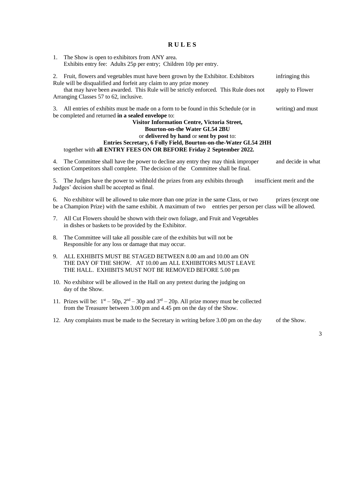#### **R U L E S**

1. The Show is open to exhibitors from ANY area. Exhibits entry fee: Adults 25p per entry; Children 10p per entry. 2. Fruit, flowers and vegetables must have been grown by the Exhibitor. Exhibitors infringing this Rule will be disqualified and forfeit any claim to any prize money that may have been awarded. This Rule will be strictly enforced. This Rule does not apply to Flower Arranging Classes 57 to 62, inclusive. 3. All entries of exhibits must be made on a form to be found in this Schedule (or in writing) and must be completed and returned **in a sealed envelope** to: **Visitor Information Centre, Victoria Street, Bourton-on-the Water GL54 2BU** or **delivered by hand** or **sent by post** to: **Entries Secretary, 6 Folly Field, Bourton-on-the-Water GL54 2HH** together with **all ENTRY FEES ON OR BEFORE Friday 2 September 2022.** 4. The Committee shall have the power to decline any entry they may think improper and decide in what

5. The Judges have the power to withhold the prizes from any exhibits through insufficient merit and the Judges' decision shall be accepted as final.

6. No exhibitor will be allowed to take more than one prize in the same Class, or two prizes (except one be a Champion Prize) with the same exhibit. A maximum of two entries per person per class will be allowed.

7. All Cut Flowers should be shown with their own foliage, and Fruit and Vegetables in dishes or baskets to be provided by the Exhibitor.

section Competitors shall complete. The decision of the Committee shall be final.

- 8. The Committee will take all possible care of the exhibits but will not be Responsible for any loss or damage that may occur.
- 9. ALL EXHIBITS MUST BE STAGED BETWEEN 8.00 am and 10.00 am ON THE DAY OF THE SHOW. AT 10.00 am ALL EXHIBITORS MUST LEAVE THE HALL. EXHIBITS MUST NOT BE REMOVED BEFORE 5.00 pm
- 10. No exhibitor will be allowed in the Hall on any pretext during the judging on day of the Show.
- 11. Prizes will be:  $1^{st} 50p$ ,  $2^{nd} 30p$  and  $3^{rd} 20p$ . All prize money must be collected from the Treasurer between 3.00 pm and 4.45 pm on the day of the Show.
- 12. Any complaints must be made to the Secretary in writing before 3.00 pm on the day of the Show.

3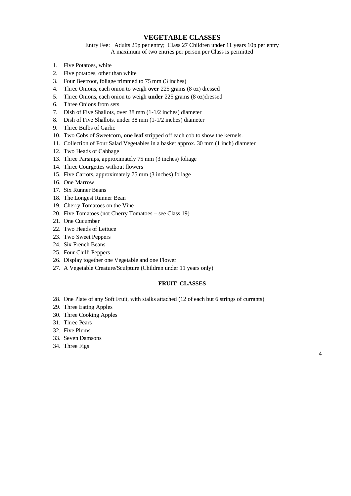#### **VEGETABLE CLASSES**

Entry Fee: Adults 25p per entry; Class 27 Children under 11 years 10p per entry A maximum of two entries per person per Class is permitted

- 1. Five Potatoes, white
- 2. Five potatoes, other than white
- 3. Four Beetroot, foliage trimmed to 75 mm (3 inches)
- 4. Three Onions, each onion to weigh **over** 225 grams (8 oz) dressed
- 5. Three Onions, each onion to weigh **under** 225 grams (8 oz)dressed
- 6. Three Onions from sets
- 7. Dish of Five Shallots, over 38 mm (1-1/2 inches) diameter
- 8. Dish of Five Shallots, under 38 mm (1-1/2 inches) diameter
- 9. Three Bulbs of Garlic
- 10. Two Cobs of Sweetcorn, **one leaf** stripped off each cob to show the kernels.
- 11. Collection of Four Salad Vegetables in a basket approx. 30 mm (1 inch) diameter
- 12. Two Heads of Cabbage
- 13. Three Parsnips, approximately 75 mm (3 inches) foliage
- 14. Three Courgettes without flowers
- 15. Five Carrots, approximately 75 mm (3 inches) foliage
- 16. One Marrow
- 17. Six Runner Beans
- 18. The Longest Runner Bean
- 19. Cherry Tomatoes on the Vine
- 20. Five Tomatoes (not Cherry Tomatoes see Class 19)
- 21. One Cucumber
- 22. Two Heads of Lettuce
- 23. Two Sweet Peppers
- 24. Six French Beans
- 25. Four Chilli Peppers
- 26. Display together one Vegetable and one Flower
- 27. A Vegetable Creature/Sculpture (Children under 11 years only)

#### **FRUIT CLASSES**

- 28. One Plate of any Soft Fruit, with stalks attached (12 of each but 6 strings of currants)
- 29. Three Eating Apples
- 30. Three Cooking Apples
- 31. Three Pears
- 32. Five Plums
- 33. Seven Damsons
- 34. Three Figs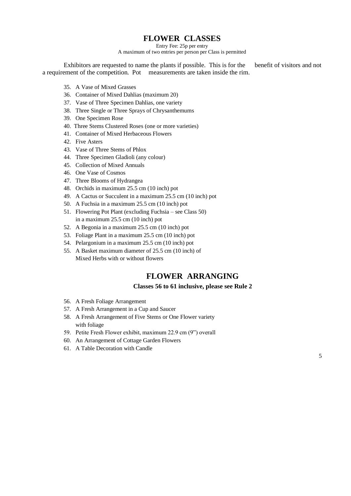# **FLOWER CLASSES**

Entry Fee: 25p per entry

A maximum of two entries per person per Class is permitted

Exhibitors are requested to name the plants if possible. This is for the benefit of visitors and not a requirement of the competition. Pot measurements are taken inside the rim.

- 35. A Vase of Mixed Grasses
- 36. Container of Mixed Dahlias (maximum 20)
- 37. Vase of Three Specimen Dahlias, one variety
- 38. Three Single or Three Sprays of Chrysanthemums
- 39. One Specimen Rose
- 40. Three Stems Clustered Roses (one or more varieties)
- 41. Container of Mixed Herbaceous Flowers
- 42. Five Asters
- 43. Vase of Three Stems of Phlox
- 44. Three Specimen Gladioli (any colour)
- 45. Collection of Mixed Annuals
- 46. One Vase of Cosmos
- 47. Three Blooms of Hydrangea
- 48. Orchids in maximum 25.5 cm (10 inch) pot
- 49. A Cactus or Succulent in a maximum 25.5 cm (10 inch) pot
- 50. A Fuchsia in a maximum 25.5 cm (10 inch) pot
- 51. Flowering Pot Plant (excluding Fuchsia see Class 50) in a maximum 25.5 cm (10 inch) pot
- 52. A Begonia in a maximum 25.5 cm (10 inch) pot
- 53. Foliage Plant in a maximum 25.5 cm (10 inch) pot
- 54. Pelargonium in a maximum 25.5 cm (10 inch) pot
- 55. A Basket maximum diameter of 25.5 cm (10 inch) of Mixed Herbs with or without flowers

## **FLOWER ARRANGING**

#### **Classes 56 to 61 inclusive, please see Rule 2**

- 56. A Fresh Foliage Arrangement
- 57. A Fresh Arrangement in a Cup and Saucer
- 58. A Fresh Arrangement of Five Stems or One Flower variety with foliage
- 59. Petite Fresh Flower exhibit, maximum 22.9 cm (9") overall
- 60. An Arrangement of Cottage Garden Flowers
- 61. A Table Decoration with Candle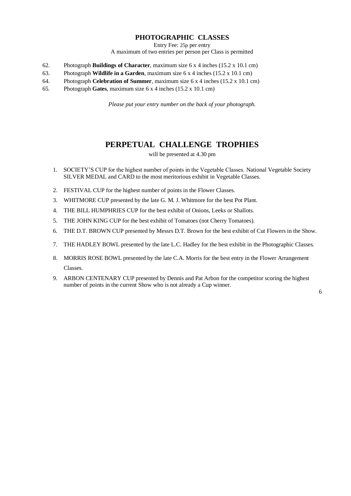### **PHOTOGRAPHIC CLASSES**

Entry Fee: 25p per entry

A maximum of two entries per person per Class is permitted

- 62. Photograph **Buildings of Character**, maximum size 6 x 4 inches (15.2 x 10.1 cm)
- 63. Photograph **Wildlife in a Garden**, maximum size 6 x 4 inches (15.2 x 10.1 cm)
- 64. Photograph **Celebration of Summer**, maximum size 6 x 4 inches (15.2 x 10.1 cm)
- 65. Photograph **Gates**, maximum size 6 x 4 inches (15.2 x 10.1 cm)

*Please put your entry number on the back of your photograph.*

# **PERPETUAL CHALLENGE TROPHIES**

will be presented at 4.30 pm

- 1. SOCIETY'S CUP for the highest number of points in the Vegetable Classes. National Vegetable Society SILVER MEDAL and CARD to the most meritorious exhibit in Vegetable Classes.
- 2. FESTIVAL CUP for the highest number of points in the Flower Classes.
- 3. WHITMORE CUP presented by the late G. M. J. Whitmore for the best Pot Plant.
- 4. THE BILL HUMPHRIES CUP for the best exhibit of Onions, Leeks or Shallots.
- 5. THE JOHN KING CUP for the best exhibit of Tomatoes (not Cherry Tomatoes).
- 6. THE D.T. BROWN CUP presented by Messrs D.T. Brown for the best exhibit of Cut Flowers in the Show.
- 7. THE HADLEY BOWL presented by the late L.C. Hadley for the best exhibit in the Photographic Classes.
- 8. MORRIS ROSE BOWL presented by the late C.A. Morris for the best entry in the Flower Arrangement Classes.
- 9. ARBON CENTENARY CUP presented by Dennis and Pat Arbon for the competitor scoring the highest number of points in the current Show who is not already a Cup winner.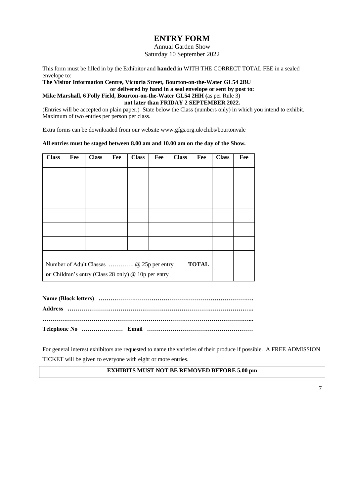# **ENTRY FORM**

Annual Garden Show Saturday 10 September 2022

This form must be filled in by the Exhibitor and **handed in** WITH THE CORRECT TOTAL FEE in a sealed envelope to:

#### **The Visitor Information Centre, Victoria Street, Bourton-on-the-Water GL54 2BU or delivered by hand in a seal envelope or sent by post to: Mike Marshall, 6 Folly Field, Bourton-on-the-Water GL54 2HH (**as per Rule 3) **not later than FRIDAY 2 SEPTEMBER 2022.**

(Entries will be accepted on plain paper.) State below the Class (numbers only) in which you intend to exhibit. Maximum of two entries per person per class.

Extra forms can be downloaded from our website www.gfgs.org.uk/clubs/bourtonvale

#### **All entries must be staged between 8.00 am and 10.00 am on the day of the Show.**

| <b>Class</b>                                                                                                    | Fee | <b>Class</b> | Fee | <b>Class</b> | Fee | <b>Class</b> | Fee | <b>Class</b> | Fee |
|-----------------------------------------------------------------------------------------------------------------|-----|--------------|-----|--------------|-----|--------------|-----|--------------|-----|
|                                                                                                                 |     |              |     |              |     |              |     |              |     |
|                                                                                                                 |     |              |     |              |     |              |     |              |     |
|                                                                                                                 |     |              |     |              |     |              |     |              |     |
|                                                                                                                 |     |              |     |              |     |              |     |              |     |
|                                                                                                                 |     |              |     |              |     |              |     |              |     |
|                                                                                                                 |     |              |     |              |     |              |     |              |     |
| Number of Adult Classes  @ 25p per entry<br><b>TOTAL</b><br>or Children's entry (Class 28 only) @ 10p per entry |     |              |     |              |     |              |     |              |     |

For general interest exhibitors are requested to name the varieties of their produce if possible. A FREE ADMISSION TICKET will be given to everyone with eight or more entries.

#### **EXHIBITS MUST NOT BE REMOVED BEFORE 5.00 pm**